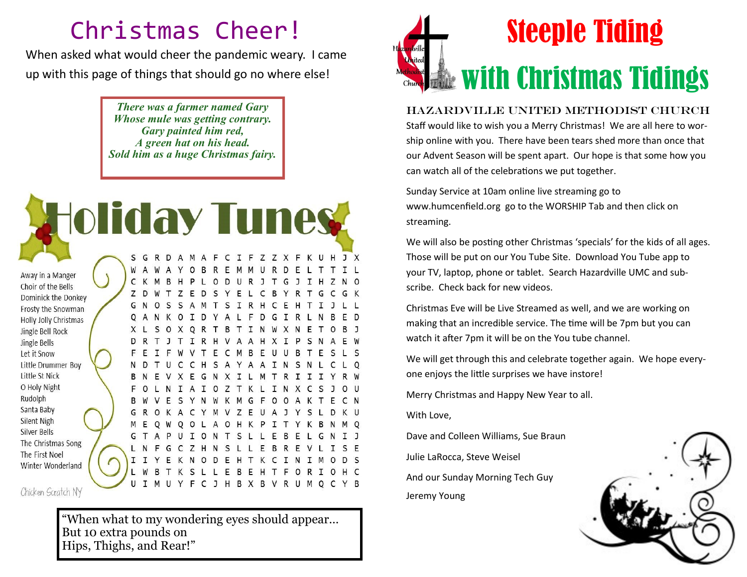## Christmas Cheer!

When asked what would cheer the pandemic weary. I came up with this page of things that should go no where else!

> *There was a farmer named Gary Whose mule was getting contrary. Gary painted him red, A green hat on his head. Sold him as a huge Christmas fairy.*



Chicken Scratch NY

"When what to my wondering eyes should appear… But 10 extra pounds on Hips, Thighs, and Rear!"



Hazardville United Methodist Church Staff would like to wish you a Merry Christmas! We are all here to worship online with you. There have been tears shed more than once that our Advent Season will be spent apart. Our hope is that some how you can watch all of the celebrations we put together.

Sunday Service at 10am online live streaming go to www.humcenfield.org go to the WORSHIP Tab and then click on streaming.

We will also be posting other Christmas 'specials' for the kids of all ages. Those will be put on our You Tube Site. Download You Tube app to your TV, laptop, phone or tablet. Search Hazardville UMC and subscribe. Check back for new videos.

Christmas Eve will be Live Streamed as well, and we are working on making that an incredible service. The time will be 7pm but you can watch it after 7pm it will be on the You tube channel.

We will get through this and celebrate together again. We hope everyone enjoys the little surprises we have instore!

Merry Christmas and Happy New Year to all.

With Love,

Dave and Colleen Williams, Sue Braun

Julie LaRocca, Steve Weisel

And our Sunday Morning Tech Guy Jeremy Young